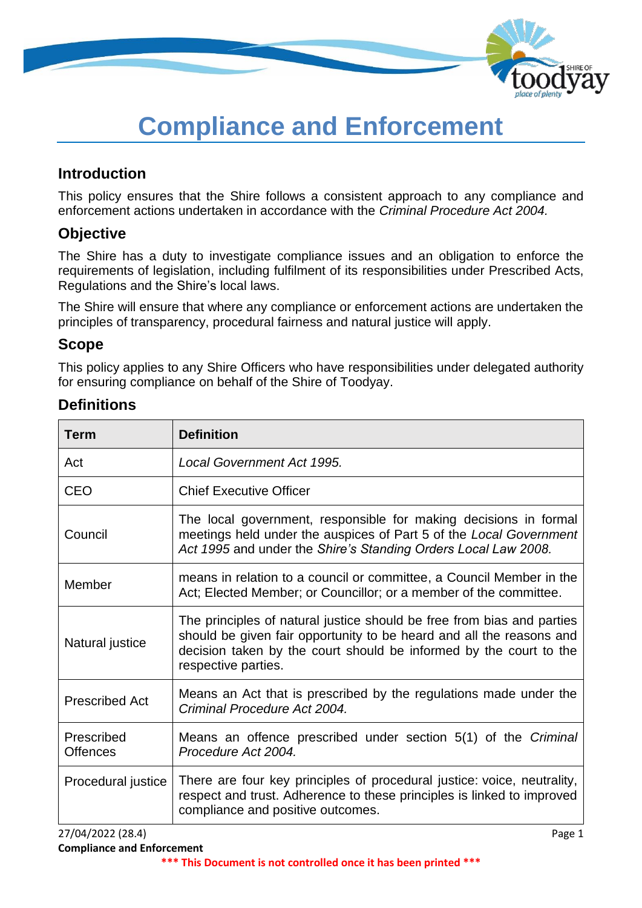

# **Compliance and Enforcement**

#### **Introduction**

This policy ensures that the Shire follows a consistent approach to any compliance and enforcement actions undertaken in accordance with the *Criminal Procedure Act 2004.*

#### **Objective**

The Shire has a duty to investigate compliance issues and an obligation to enforce the requirements of legislation, including fulfilment of its responsibilities under Prescribed Acts, Regulations and the Shire's local laws.

The Shire will ensure that where any compliance or enforcement actions are undertaken the principles of transparency, procedural fairness and natural justice will apply.

#### **Scope**

This policy applies to any Shire Officers who have responsibilities under delegated authority for ensuring compliance on behalf of the Shire of Toodyay.

| <b>Term</b>                   | <b>Definition</b>                                                                                                                                                                                                                           |  |
|-------------------------------|---------------------------------------------------------------------------------------------------------------------------------------------------------------------------------------------------------------------------------------------|--|
| Act                           | Local Government Act 1995.                                                                                                                                                                                                                  |  |
| <b>CEO</b>                    | <b>Chief Executive Officer</b>                                                                                                                                                                                                              |  |
| Council                       | The local government, responsible for making decisions in formal<br>meetings held under the auspices of Part 5 of the Local Government<br>Act 1995 and under the Shire's Standing Orders Local Law 2008.                                    |  |
| Member                        | means in relation to a council or committee, a Council Member in the<br>Act; Elected Member; or Councillor; or a member of the committee.                                                                                                   |  |
| Natural justice               | The principles of natural justice should be free from bias and parties<br>should be given fair opportunity to be heard and all the reasons and<br>decision taken by the court should be informed by the court to the<br>respective parties. |  |
| <b>Prescribed Act</b>         | Means an Act that is prescribed by the regulations made under the<br>Criminal Procedure Act 2004.                                                                                                                                           |  |
| Prescribed<br><b>Offences</b> | Means an offence prescribed under section 5(1) of the Criminal<br>Procedure Act 2004.                                                                                                                                                       |  |
| Procedural justice            | There are four key principles of procedural justice: voice, neutrality,<br>respect and trust. Adherence to these principles is linked to improved<br>compliance and positive outcomes.                                                      |  |
| 27/04/2022 (28.4)             | Page 1                                                                                                                                                                                                                                      |  |

## **Definitions**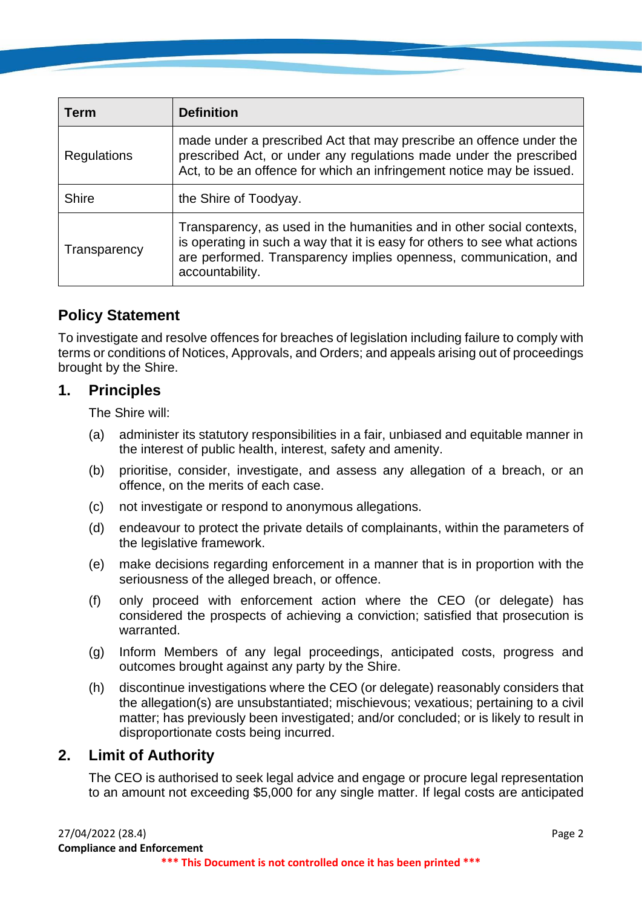| Term         | <b>Definition</b>                                                                                                                                                                                                                         |  |
|--------------|-------------------------------------------------------------------------------------------------------------------------------------------------------------------------------------------------------------------------------------------|--|
| Regulations  | made under a prescribed Act that may prescribe an offence under the<br>prescribed Act, or under any regulations made under the prescribed<br>Act, to be an offence for which an infringement notice may be issued.                        |  |
| <b>Shire</b> | the Shire of Toodyay.                                                                                                                                                                                                                     |  |
| Transparency | Transparency, as used in the humanities and in other social contexts,<br>is operating in such a way that it is easy for others to see what actions<br>are performed. Transparency implies openness, communication, and<br>accountability. |  |

## **Policy Statement**

To investigate and resolve offences for breaches of legislation including failure to comply with terms or conditions of Notices, Approvals, and Orders; and appeals arising out of proceedings brought by the Shire.

#### **1. Principles**

The Shire will:

- (a) administer its statutory responsibilities in a fair, unbiased and equitable manner in the interest of public health, interest, safety and amenity.
- (b) prioritise, consider, investigate, and assess any allegation of a breach, or an offence, on the merits of each case.
- (c) not investigate or respond to anonymous allegations.
- (d) endeavour to protect the private details of complainants, within the parameters of the legislative framework.
- (e) make decisions regarding enforcement in a manner that is in proportion with the seriousness of the alleged breach, or offence.
- (f) only proceed with enforcement action where the CEO (or delegate) has considered the prospects of achieving a conviction; satisfied that prosecution is warranted.
- (g) Inform Members of any legal proceedings, anticipated costs, progress and outcomes brought against any party by the Shire.
- (h) discontinue investigations where the CEO (or delegate) reasonably considers that the allegation(s) are unsubstantiated; mischievous; vexatious; pertaining to a civil matter; has previously been investigated; and/or concluded; or is likely to result in disproportionate costs being incurred.

#### **2. Limit of Authority**

The CEO is authorised to seek legal advice and engage or procure legal representation to an amount not exceeding \$5,000 for any single matter. If legal costs are anticipated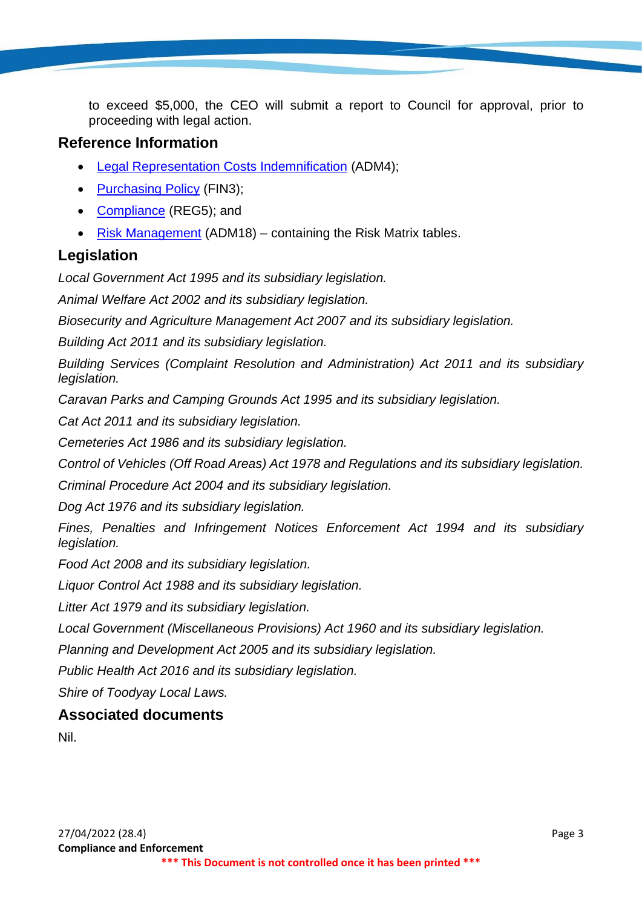to exceed \$5,000, the CEO will submit a report to Council for approval, prior to proceeding with legal action.

#### **Reference Information**

- [Legal Representation Costs Indemnification](https://www.toodyay.wa.gov.au/documents/117/legal-representation-costs-indemnification) (ADM4);
- [Purchasing Policy](https://www.toodyay.wa.gov.au/documents/138/purchasing) (FIN3);
- [Compliance](https://www.toodyay.wa.gov.au/documents/161/compliance) (REG5); and
- [Risk Management](https://www.toodyay.wa.gov.au/documents/110/risk-management) (ADM18) containing the Risk Matrix tables.

## **Legislation**

*Local Government Act 1995 and its subsidiary legislation.*

*Animal Welfare Act 2002 and its subsidiary legislation.*

*Biosecurity and Agriculture Management Act 2007 and its subsidiary legislation.*

*Building Act 2011 and its subsidiary legislation.*

*Building Services (Complaint Resolution and Administration) Act 2011 and its subsidiary legislation.*

*Caravan Parks and Camping Grounds Act 1995 and its subsidiary legislation.*

*Cat Act 2011 and its subsidiary legislation.*

*Cemeteries Act 1986 and its subsidiary legislation.*

*Control of Vehicles (Off Road Areas) Act 1978 and Regulations and its subsidiary legislation.*

*Criminal Procedure Act 2004 and its subsidiary legislation.*

*Dog Act 1976 and its subsidiary legislation.*

*Fines, Penalties and Infringement Notices Enforcement Act 1994 and its subsidiary legislation.*

*Food Act 2008 and its subsidiary legislation.*

*Liquor Control Act 1988 and its subsidiary legislation.*

*Litter Act 1979 and its subsidiary legislation.*

*Local Government (Miscellaneous Provisions) Act 1960 and its subsidiary legislation.*

*Planning and Development Act 2005 and its subsidiary legislation.*

*Public Health Act 2016 and its subsidiary legislation.*

*Shire of Toodyay Local Laws.*

## **Associated documents**

Nil.